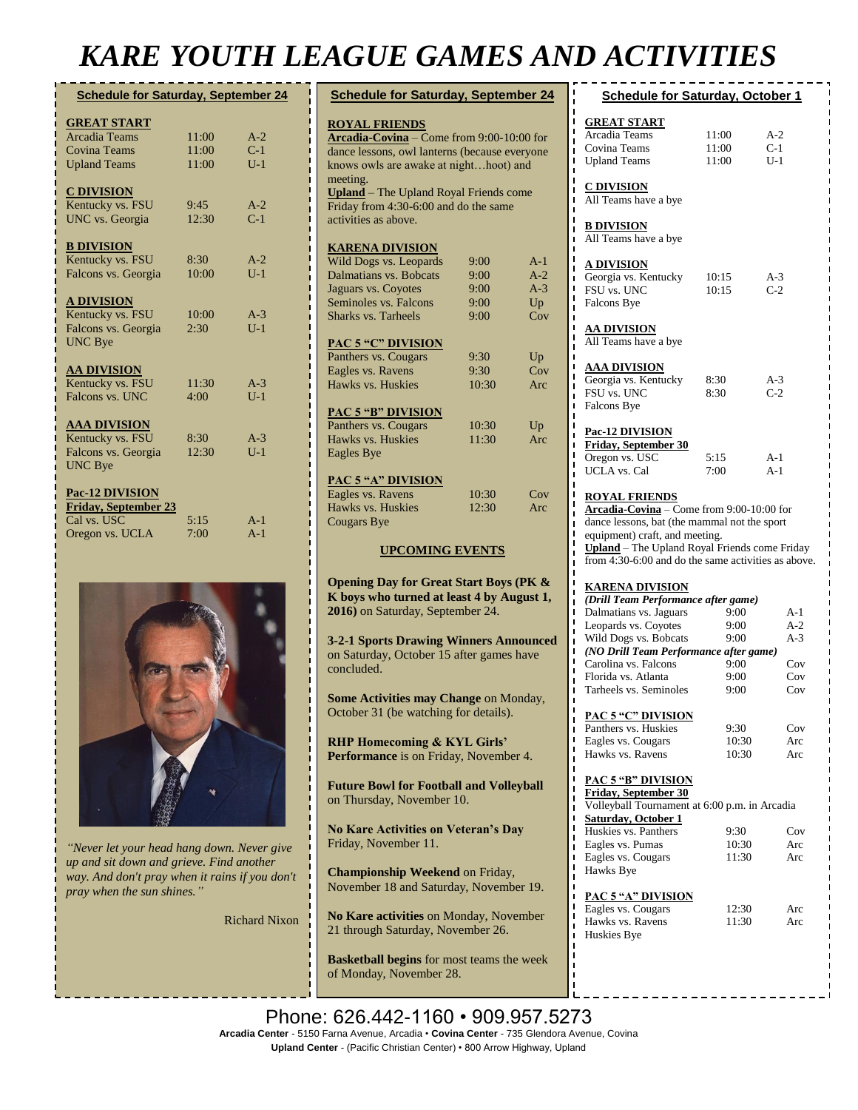# *KARE YOUTH LEAGUE GAMES AND ACTIVITIES*

| <b>Schedule for Saturday, September 24</b> |       |       |
|--------------------------------------------|-------|-------|
| <b>GREAT START</b>                         |       |       |
| <b>Arcadia Teams</b>                       | 11:00 | $A-2$ |
| <b>Covina Teams</b>                        | 11:00 | $C-1$ |
| <b>Upland Teams</b>                        | 11:00 | $U-1$ |
|                                            |       |       |
| <b>C DIVISION</b>                          |       |       |
| Kentucky vs. FSU                           | 9:45  | $A-2$ |
| UNC vs. Georgia                            | 12:30 | $C-1$ |
|                                            |       |       |
| <b>B DIVISION</b>                          |       |       |
| Kentucky vs. FSU                           | 8:30  | $A-2$ |
| Falcons vs. Georgia                        | 10:00 | $U-1$ |
|                                            |       |       |
| <b>A DIVISION</b>                          |       |       |
| Kentucky vs. FSU                           | 10:00 | $A-3$ |
| Falcons vs. Georgia                        | 2:30  | $U-1$ |
| <b>UNC Bye</b>                             |       |       |
|                                            |       |       |
| <b>AA DIVISION</b>                         |       |       |
| Kentucky vs. FSU                           | 11:30 | $A-3$ |
| Falcons vs. UNC                            | 4:00  | $U-1$ |
|                                            |       |       |
| <b>AAA DIVISION</b>                        |       |       |
| Kentucky vs. FSU                           | 8:30  | $A-3$ |
| Falcons vs. Georgia                        | 12:30 | $U-1$ |
| <b>UNC Bye</b>                             |       |       |
|                                            |       |       |
| <b>Pac-12 DIVISION</b>                     |       |       |
| <b>Friday, September 23</b><br>Cal vs. USC | 5:15  | $A-1$ |
|                                            | 7:00  | $A-1$ |
| Oregon vs. UCLA                            |       |       |



*"Never let your head hang down. Never give up and sit down and grieve. Find another way. And don't pray when it rains if you don't pray when the sun shines."*

Richard Nixon

| <b>Schedule for Saturday, September 24</b>                                                                                                                               |               |            |  |  |
|--------------------------------------------------------------------------------------------------------------------------------------------------------------------------|---------------|------------|--|--|
| <b>ROYAL FRIENDS</b><br>Arcadia-Covina - Come from 9:00-10:00 for<br>dance lessons, owl lanterns (because everyone<br>knows owls are awake at nighthoot) and<br>meeting. |               |            |  |  |
| <b>Upland</b> – The Upland Royal Friends come<br>Friday from 4:30-6:00 and do the same<br>activities as above.                                                           |               |            |  |  |
| <u>KARENA DIVISION</u>                                                                                                                                                   |               |            |  |  |
| Wild Dogs vs. Leopards                                                                                                                                                   | 9:00          | A-1        |  |  |
| Dalmatians vs. Bobcats                                                                                                                                                   | 9:00          | $A-2$      |  |  |
| Jaguars vs. Coyotes                                                                                                                                                      | 9:00          | $A-3$      |  |  |
| Seminoles vs. Falcons                                                                                                                                                    | 9:00          | Up         |  |  |
| <b>Sharks vs. Tarheels</b>                                                                                                                                               | 9:00          | Cov        |  |  |
|                                                                                                                                                                          |               |            |  |  |
| <b>PAC 5 "C" DIVISION</b>                                                                                                                                                |               |            |  |  |
| Panthers vs. Cougars                                                                                                                                                     | 9:30          | Up         |  |  |
| Eagles vs. Ravens<br>Hawks vs. Huskies                                                                                                                                   | 9:30<br>10:30 | Cov<br>Arc |  |  |
|                                                                                                                                                                          |               |            |  |  |
| <b>PAC 5 "B" DIVISION</b>                                                                                                                                                |               |            |  |  |
| Panthers vs. Cougars                                                                                                                                                     | 10:30         | Up         |  |  |
| Hawks vs. Huskies                                                                                                                                                        | 11:30         | Arc        |  |  |
| <b>Eagles Bye</b>                                                                                                                                                        |               |            |  |  |
|                                                                                                                                                                          |               |            |  |  |
| <b>PAC 5 "A" DIVISION</b>                                                                                                                                                |               |            |  |  |
| Eagles vs. Ravens                                                                                                                                                        | 10:30         | Cov        |  |  |
| Hawks vs. Huskies                                                                                                                                                        | 12:30         | Arc        |  |  |
| <b>Cougars Bye</b>                                                                                                                                                       |               |            |  |  |
| <b>UPCOMING EVENTS</b>                                                                                                                                                   |               |            |  |  |
| <b>Opening Day for Great Start Boys (PK &amp;</b><br>K boys who turned at least 4 by August 1,<br>2016) on Saturday, September 24.                                       |               |            |  |  |
| <b>3-2-1 Sports Drawing Winners Announced</b><br>on Saturday, October 15 after games have<br>concluded.                                                                  |               |            |  |  |
| Some Activities may Change on Monday,<br>October 31 (be watching for details).                                                                                           |               |            |  |  |
| <b>RHP Homecoming &amp; KYL Girls'</b><br>Performance is on Friday, November 4.                                                                                          |               |            |  |  |
| <b>Future Bowl for Football and Volleyball</b><br>on Thursday, November 10.                                                                                              |               |            |  |  |
| <b>No Kare Activities on Veteran's Day</b><br>Friday, November 11.                                                                                                       |               |            |  |  |
| Championship Weekend on Friday,<br>November 18 and Saturday, November 19.                                                                                                |               |            |  |  |

**No Kare activities** on Monday, November 21 through Saturday, November 26.

**Basketball begins** for most teams the week of Monday, November 28.

| <b>Schedule for Saturday, October 1</b>                                                                                                                                                                                                                     |                         |                         |  |  |
|-------------------------------------------------------------------------------------------------------------------------------------------------------------------------------------------------------------------------------------------------------------|-------------------------|-------------------------|--|--|
| <b>GREAT START</b><br>Arcadia Teams<br>Covina Teams<br><b>Upland Teams</b>                                                                                                                                                                                  | 11:00<br>11:00<br>11:00 | $A-2$<br>$C-1$<br>$U-1$ |  |  |
| <b>C DIVISION</b><br>All Teams have a bye                                                                                                                                                                                                                   |                         |                         |  |  |
| <b>B DIVISION</b><br>All Teams have a bye                                                                                                                                                                                                                   |                         |                         |  |  |
| <u>A DIVISION</u><br>Georgia vs. Kentucky<br>FSU vs. UNC<br>Falcons Bye                                                                                                                                                                                     | 10:15<br>10:15          | $A-3$<br>$C-2$          |  |  |
| <u>AA DIVISION</u><br>All Teams have a bye                                                                                                                                                                                                                  |                         |                         |  |  |
| <u>AAA DIVISION</u><br>Georgia vs. Kentucky<br>FSU vs. UNC<br>Falcons Bye                                                                                                                                                                                   | 8:30<br>8:30            | $A-3$<br>$C-2$          |  |  |
| Pac-12 DIVISION<br>Friday, September 30<br>Oregon vs. USC<br><b>UCLA</b> vs. Cal                                                                                                                                                                            | 5:15<br>7:00            | $A-1$<br>$A-1$          |  |  |
| <b>ROYAL FRIENDS</b><br>Arcadia-Covina - Come from 9:00-10:00 for<br>dance lessons, bat (the mammal not the sport<br>equipment) craft, and meeting.<br>Upland - The Upland Royal Friends come Friday<br>from 4:30-6:00 and do the same activities as above. |                         |                         |  |  |
| <b>KARENA DIVISION</b><br>(Drill Team Performance after game)                                                                                                                                                                                               |                         |                         |  |  |
| Dalmatians vs. Jaguars                                                                                                                                                                                                                                      | 9:00                    | A-1                     |  |  |
| Leopards vs. Coyotes                                                                                                                                                                                                                                        | 9:00                    | $A-2$                   |  |  |
| Wild Dogs vs. Bobcats                                                                                                                                                                                                                                       | 9:00                    | $A-3$                   |  |  |
| (NO Drill Team Performance after game)                                                                                                                                                                                                                      |                         |                         |  |  |
| Carolina vs. Falcons                                                                                                                                                                                                                                        | 9:00                    | Cov                     |  |  |
| Florida vs. Atlanta                                                                                                                                                                                                                                         | 9:00                    | Cov                     |  |  |
| Tarheels vs. Seminoles                                                                                                                                                                                                                                      | 9:00                    | Cov                     |  |  |
| <b>PAC 5 "C" DIVISION</b>                                                                                                                                                                                                                                   |                         |                         |  |  |
| Panthers vs. Huskies                                                                                                                                                                                                                                        | 9:30                    | Cov                     |  |  |
| Eagles vs. Cougars                                                                                                                                                                                                                                          | 10:30                   | Arc                     |  |  |
| Hawks vs. Ravens                                                                                                                                                                                                                                            | 10:30                   | Arc                     |  |  |
| <b>PAC 5 "B" DIVISION</b><br><b>Friday, September 30</b>                                                                                                                                                                                                    |                         |                         |  |  |
| Volleyball Tournament at 6:00 p.m. in Arcadia                                                                                                                                                                                                               |                         |                         |  |  |
| <b>Saturday</b> , October 1                                                                                                                                                                                                                                 |                         |                         |  |  |
| Huskies vs. Panthers                                                                                                                                                                                                                                        | 9:30                    | Cov                     |  |  |
| Eagles vs. Pumas                                                                                                                                                                                                                                            | 10:30                   | Arc                     |  |  |
| Eagles vs. Cougars<br>Hawks Bye                                                                                                                                                                                                                             | 11:30                   | Arc                     |  |  |
| <b>PAC 5 "A" DIVISION</b>                                                                                                                                                                                                                                   |                         |                         |  |  |
| Eagles vs. Cougars                                                                                                                                                                                                                                          | 12:30                   | Arc                     |  |  |
| Hawks vs. Ravens                                                                                                                                                                                                                                            | 11:30                   | Arc                     |  |  |
| Huskies Bye                                                                                                                                                                                                                                                 |                         |                         |  |  |

**Phone: 626.442-1160 • 909.957.5273 Arcadia Center** - 5150 Farna Avenue, Arcadia • **Covina Center** - 735 Glendora Avenue, Covina **Upland Center** - (Pacific Christian Center) • 800 Arrow Highway, Upland 626.442-1160 • 909.957.